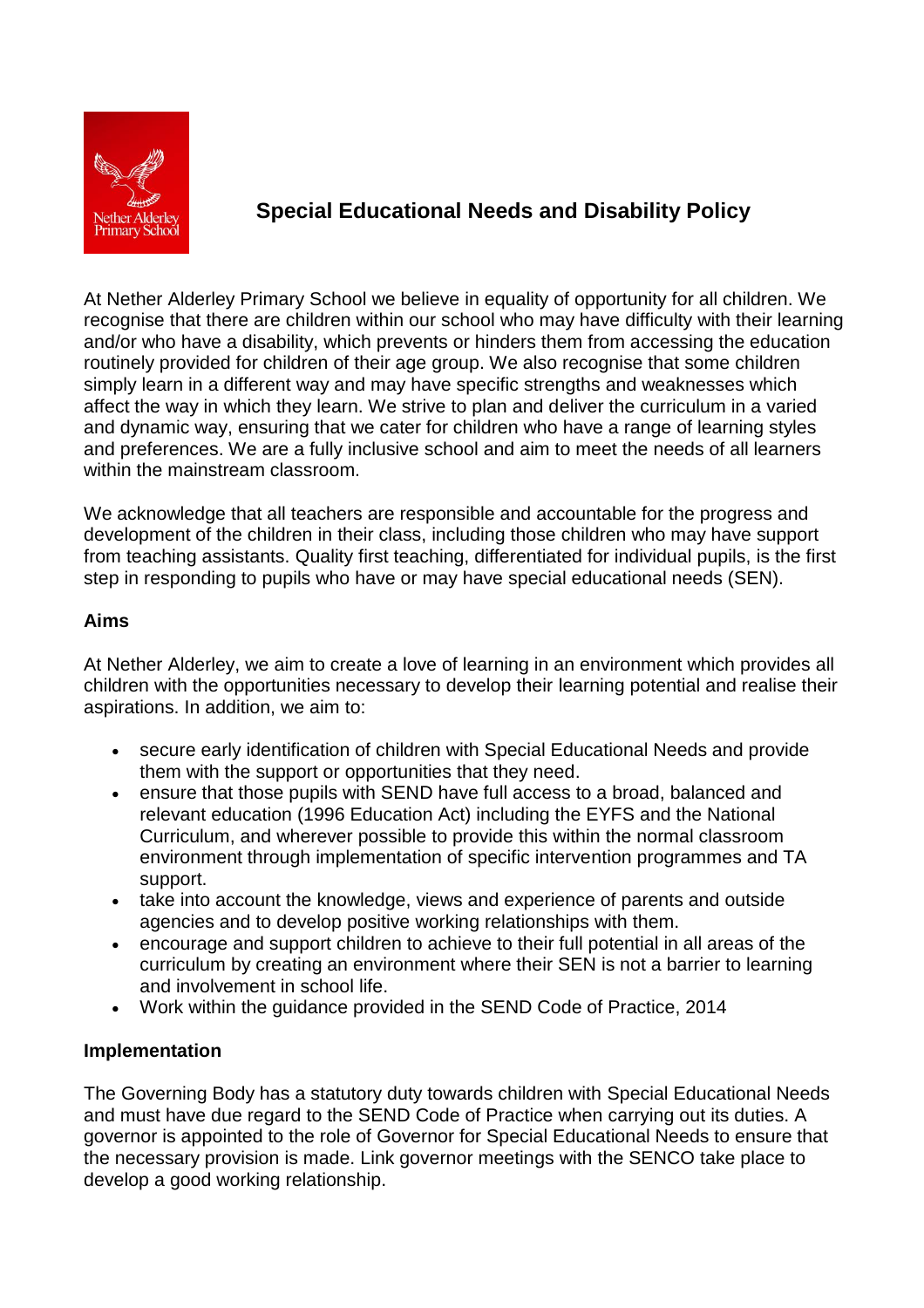

# **Special Educational Needs and Disability Policy**

At Nether Alderley Primary School we believe in equality of opportunity for all children. We recognise that there are children within our school who may have difficulty with their learning and/or who have a disability, which prevents or hinders them from accessing the education routinely provided for children of their age group. We also recognise that some children simply learn in a different way and may have specific strengths and weaknesses which affect the way in which they learn. We strive to plan and deliver the curriculum in a varied and dynamic way, ensuring that we cater for children who have a range of learning styles and preferences. We are a fully inclusive school and aim to meet the needs of all learners within the mainstream classroom.

We acknowledge that all teachers are responsible and accountable for the progress and development of the children in their class, including those children who may have support from teaching assistants. Quality first teaching, differentiated for individual pupils, is the first step in responding to pupils who have or may have special educational needs (SEN).

# **Aims**

At Nether Alderley, we aim to create a love of learning in an environment which provides all children with the opportunities necessary to develop their learning potential and realise their aspirations. In addition, we aim to:

- secure early identification of children with Special Educational Needs and provide them with the support or opportunities that they need.
- ensure that those pupils with SEND have full access to a broad, balanced and relevant education (1996 Education Act) including the EYFS and the National Curriculum, and wherever possible to provide this within the normal classroom environment through implementation of specific intervention programmes and TA support.
- take into account the knowledge, views and experience of parents and outside agencies and to develop positive working relationships with them.
- encourage and support children to achieve to their full potential in all areas of the curriculum by creating an environment where their SEN is not a barrier to learning and involvement in school life.
- Work within the guidance provided in the SEND Code of Practice, 2014

# **Implementation**

The Governing Body has a statutory duty towards children with Special Educational Needs and must have due regard to the SEND Code of Practice when carrying out its duties. A governor is appointed to the role of Governor for Special Educational Needs to ensure that the necessary provision is made. Link governor meetings with the SENCO take place to develop a good working relationship.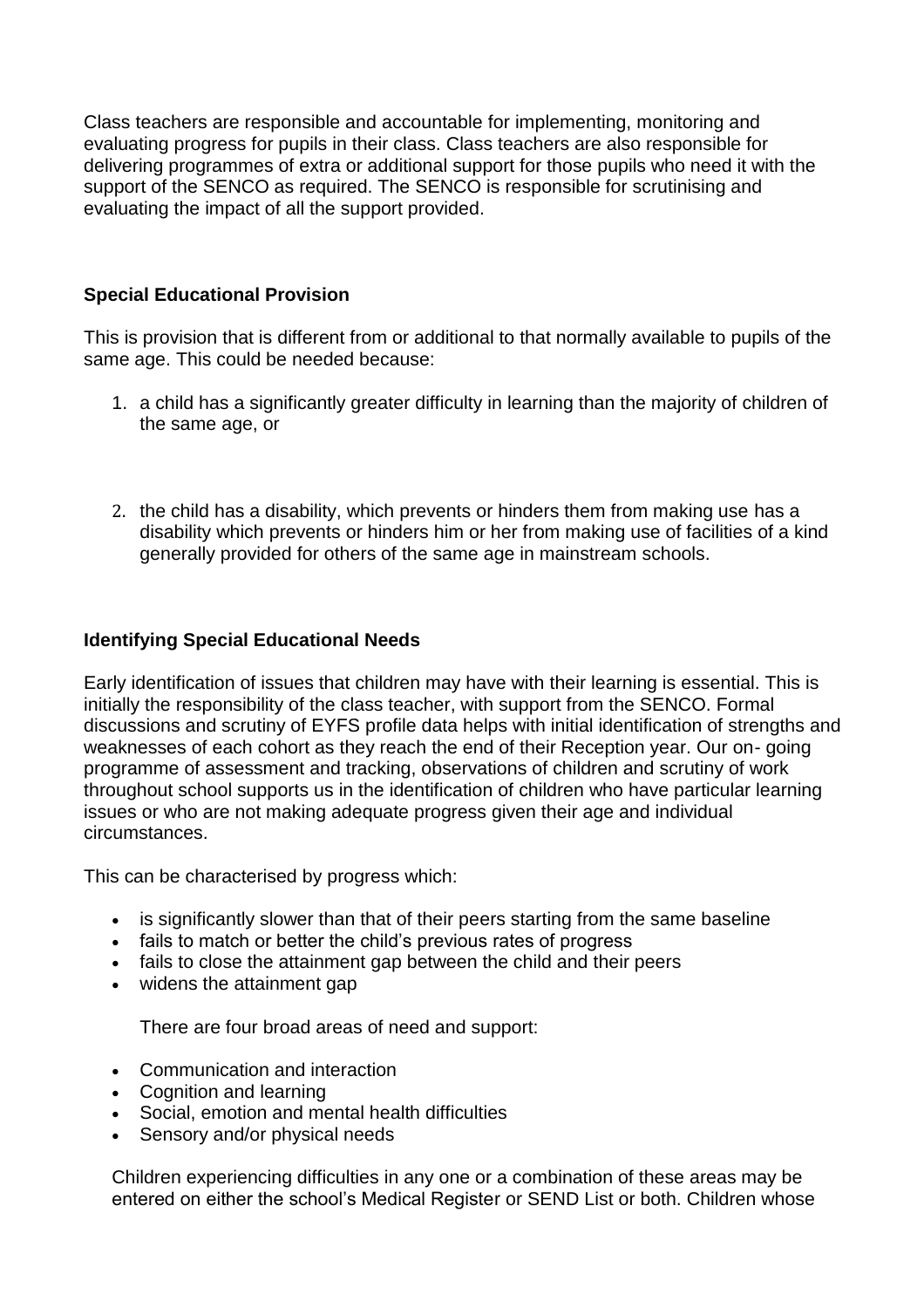Class teachers are responsible and accountable for implementing, monitoring and evaluating progress for pupils in their class. Class teachers are also responsible for delivering programmes of extra or additional support for those pupils who need it with the support of the SENCO as required. The SENCO is responsible for scrutinising and evaluating the impact of all the support provided.

# **Special Educational Provision**

This is provision that is different from or additional to that normally available to pupils of the same age. This could be needed because:

- 1. a child has a significantly greater difficulty in learning than the majority of children of the same age, or
- 2. the child has a disability, which prevents or hinders them from making use has a disability which prevents or hinders him or her from making use of facilities of a kind generally provided for others of the same age in mainstream schools.

## **Identifying Special Educational Needs**

Early identification of issues that children may have with their learning is essential. This is initially the responsibility of the class teacher, with support from the SENCO. Formal discussions and scrutiny of EYFS profile data helps with initial identification of strengths and weaknesses of each cohort as they reach the end of their Reception year. Our on- going programme of assessment and tracking, observations of children and scrutiny of work throughout school supports us in the identification of children who have particular learning issues or who are not making adequate progress given their age and individual circumstances.

This can be characterised by progress which:

- is significantly slower than that of their peers starting from the same baseline
- fails to match or better the child's previous rates of progress
- fails to close the attainment gap between the child and their peers
- widens the attainment gap

There are four broad areas of need and support:

- Communication and interaction
- Cognition and learning
- Social, emotion and mental health difficulties
- Sensory and/or physical needs

Children experiencing difficulties in any one or a combination of these areas may be entered on either the school's Medical Register or SEND List or both. Children whose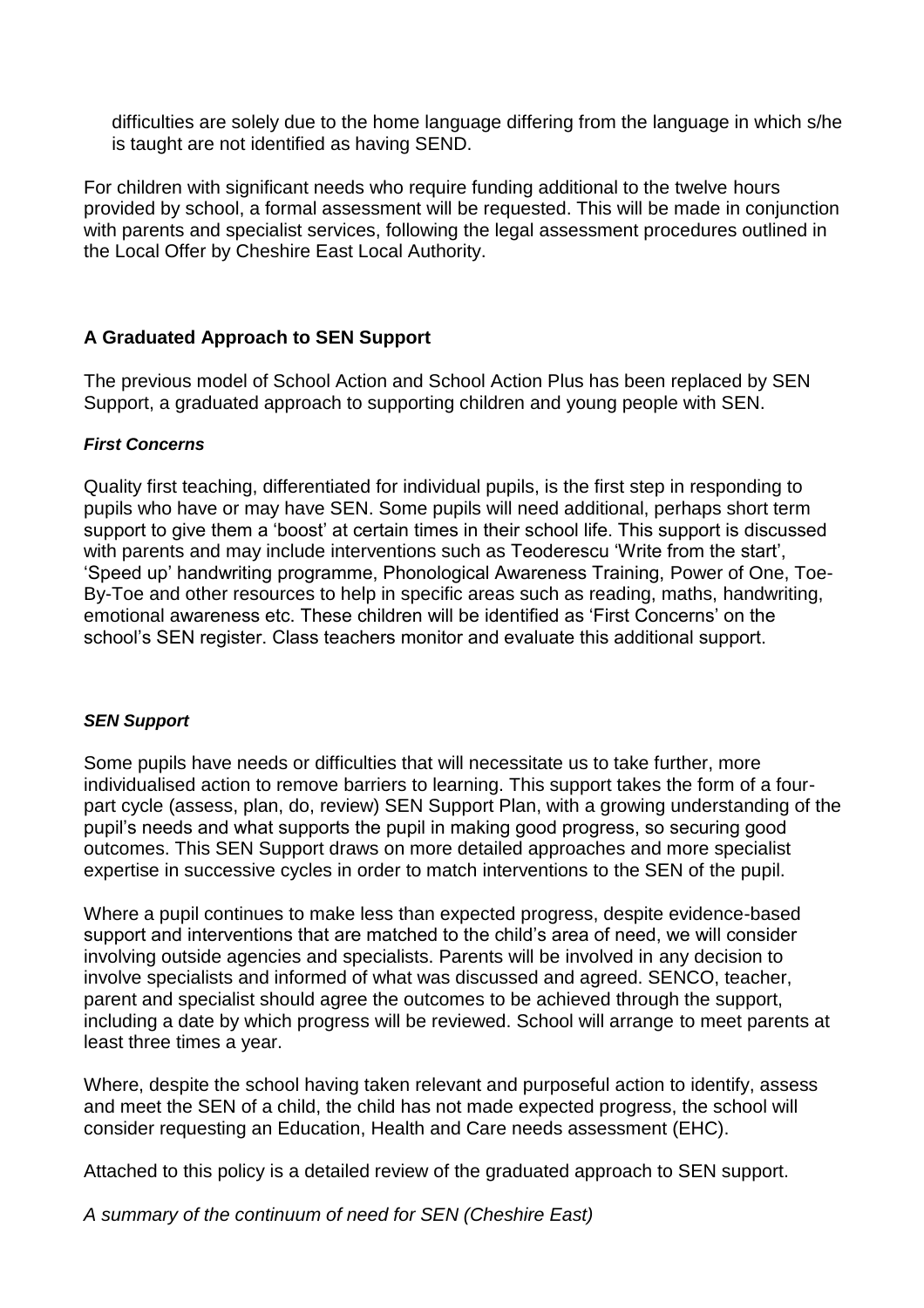difficulties are solely due to the home language differing from the language in which s/he is taught are not identified as having SEND.

For children with significant needs who require funding additional to the twelve hours provided by school, a formal assessment will be requested. This will be made in conjunction with parents and specialist services, following the legal assessment procedures outlined in the Local Offer by Cheshire East Local Authority.

# **A Graduated Approach to SEN Support**

The previous model of School Action and School Action Plus has been replaced by SEN Support, a graduated approach to supporting children and young people with SEN.

### *First Concerns*

Quality first teaching, differentiated for individual pupils, is the first step in responding to pupils who have or may have SEN. Some pupils will need additional, perhaps short term support to give them a 'boost' at certain times in their school life. This support is discussed with parents and may include interventions such as Teoderescu 'Write from the start', 'Speed up' handwriting programme, Phonological Awareness Training, Power of One, Toe-By-Toe and other resources to help in specific areas such as reading, maths, handwriting, emotional awareness etc. These children will be identified as 'First Concerns' on the school's SEN register. Class teachers monitor and evaluate this additional support.

#### *SEN Support*

Some pupils have needs or difficulties that will necessitate us to take further, more individualised action to remove barriers to learning. This support takes the form of a fourpart cycle (assess, plan, do, review) SEN Support Plan, with a growing understanding of the pupil's needs and what supports the pupil in making good progress, so securing good outcomes. This SEN Support draws on more detailed approaches and more specialist expertise in successive cycles in order to match interventions to the SEN of the pupil.

Where a pupil continues to make less than expected progress, despite evidence-based support and interventions that are matched to the child's area of need, we will consider involving outside agencies and specialists. Parents will be involved in any decision to involve specialists and informed of what was discussed and agreed. SENCO, teacher, parent and specialist should agree the outcomes to be achieved through the support, including a date by which progress will be reviewed. School will arrange to meet parents at least three times a year.

Where, despite the school having taken relevant and purposeful action to identify, assess and meet the SEN of a child, the child has not made expected progress, the school will consider requesting an Education, Health and Care needs assessment (EHC).

Attached to this policy is a detailed review of the graduated approach to SEN support.

*A summary of the continuum of need for SEN (Cheshire East)*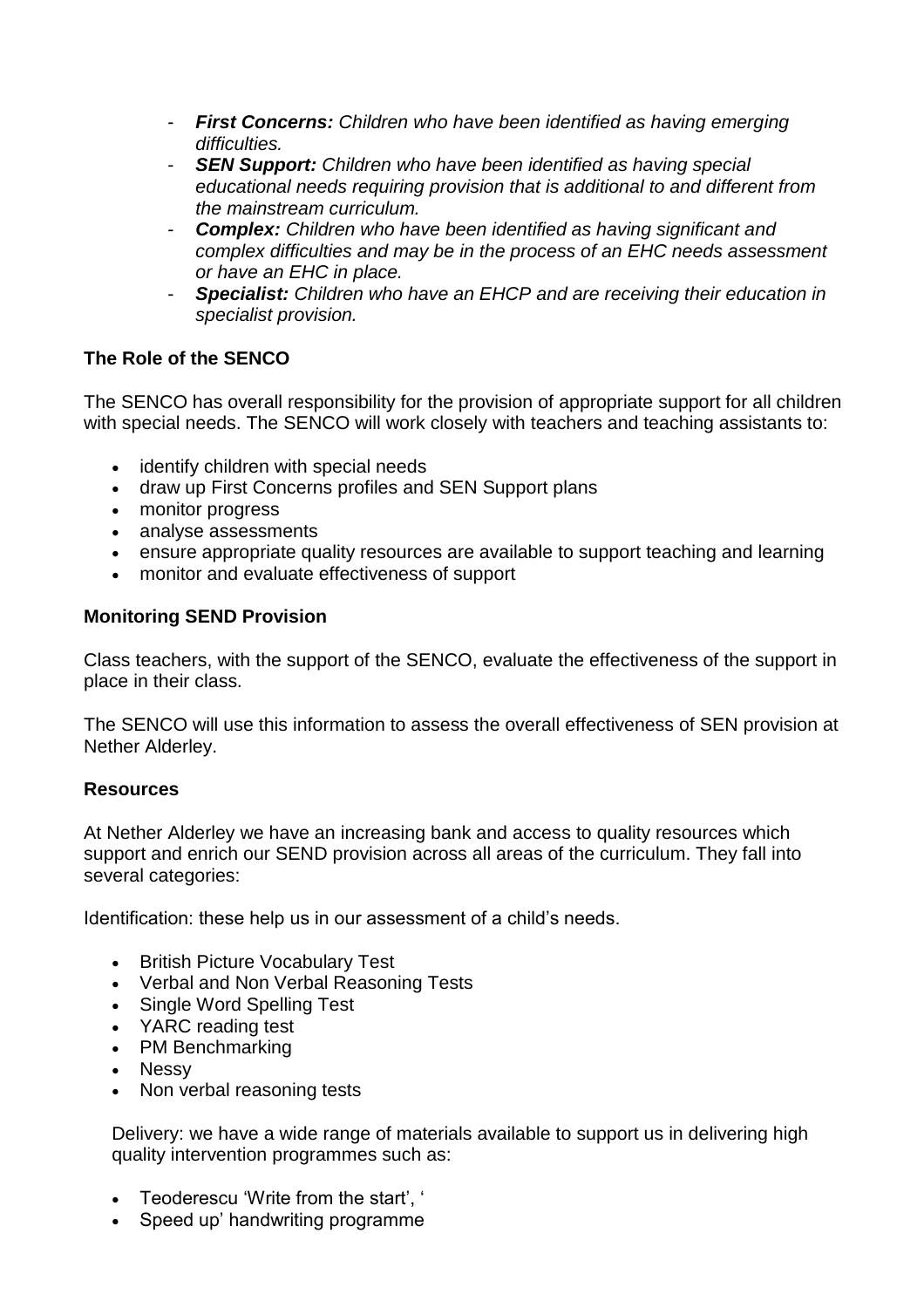- **First Concerns:** Children who have been identified as having emerging *difficulties.*
- *SEN Support: Children who have been identified as having special educational needs requiring provision that is additional to and different from the mainstream curriculum.*
- *Complex: Children who have been identified as having significant and complex difficulties and may be in the process of an EHC needs assessment or have an EHC in place.*
- *Specialist: Children who have an EHCP and are receiving their education in specialist provision.*

# **The Role of the SENCO**

The SENCO has overall responsibility for the provision of appropriate support for all children with special needs. The SENCO will work closely with teachers and teaching assistants to:

- identify children with special needs
- draw up First Concerns profiles and SEN Support plans
- monitor progress
- analyse assessments
- ensure appropriate quality resources are available to support teaching and learning
- monitor and evaluate effectiveness of support

# **Monitoring SEND Provision**

Class teachers, with the support of the SENCO, evaluate the effectiveness of the support in place in their class.

The SENCO will use this information to assess the overall effectiveness of SEN provision at Nether Alderley.

### **Resources**

At Nether Alderley we have an increasing bank and access to quality resources which support and enrich our SEND provision across all areas of the curriculum. They fall into several categories:

Identification: these help us in our assessment of a child's needs.

- British Picture Vocabulary Test
- Verbal and Non Verbal Reasoning Tests
- Single Word Spelling Test
- YARC reading test
- PM Benchmarking
- Nessy
- Non verbal reasoning tests

Delivery: we have a wide range of materials available to support us in delivering high quality intervention programmes such as:

- Teoderescu 'Write from the start', '
- Speed up' handwriting programme